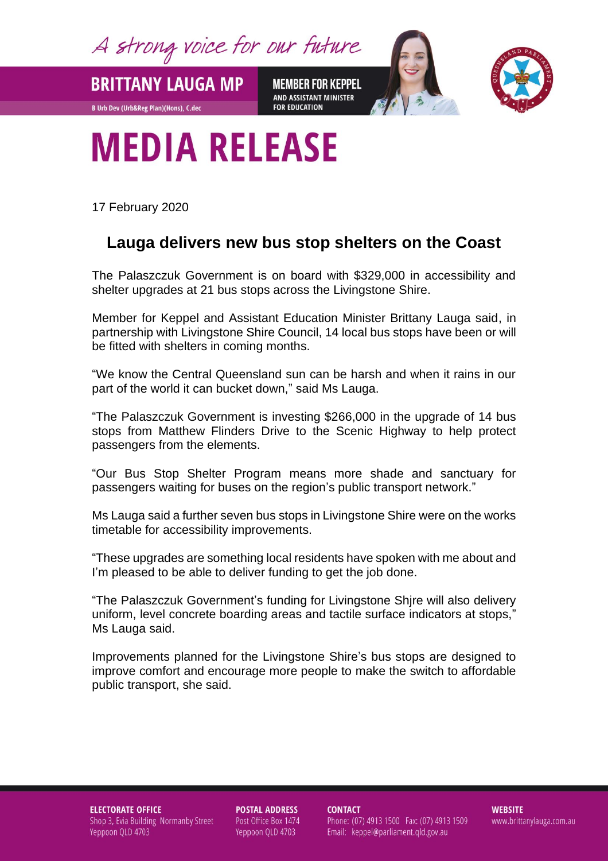A strong voice for our future

**BRITTANY LAUGA MP** 

**B Urb Dev (Urb&Reg Plan)(Hons), C.dec** 

**MEMBER FOR KEPPEL** AND ASSISTANT MINISTER **FOR EDUCATION** 



## **MEDIA RELEASE**

17 February 2020

## **Lauga delivers new bus stop shelters on the Coast**

The Palaszczuk Government is on board with \$329,000 in accessibility and shelter upgrades at 21 bus stops across the Livingstone Shire.

Member for Keppel and Assistant Education Minister Brittany Lauga said, in partnership with Livingstone Shire Council, 14 local bus stops have been or will be fitted with shelters in coming months.

"We know the Central Queensland sun can be harsh and when it rains in our part of the world it can bucket down," said Ms Lauga.

"The Palaszczuk Government is investing \$266,000 in the upgrade of 14 bus stops from Matthew Flinders Drive to the Scenic Highway to help protect passengers from the elements.

"Our Bus Stop Shelter Program means more shade and sanctuary for passengers waiting for buses on the region's public transport network."

Ms Lauga said a further seven bus stops in Livingstone Shire were on the works timetable for accessibility improvements.

"These upgrades are something local residents have spoken with me about and I'm pleased to be able to deliver funding to get the job done.

"The Palaszczuk Government's funding for Livingstone Shjre will also delivery uniform, level concrete boarding areas and tactile surface indicators at stops," Ms Lauga said.

Improvements planned for the Livingstone Shire's bus stops are designed to improve comfort and encourage more people to make the switch to affordable public transport, she said.

**ELECTORATE OFFICE** Shop 3, Evia Building Normanby Street Yeppoon QLD 4703

**POSTAL ADDRESS** Post Office Box 1474 Yeppoon QLD 4703

**CONTACT** Phone: (07) 4913 1500 Fax: (07) 4913 1509 Email: keppel@parliament.qld.gov.au

**WEBSITE** www.brittanylauga.com.au